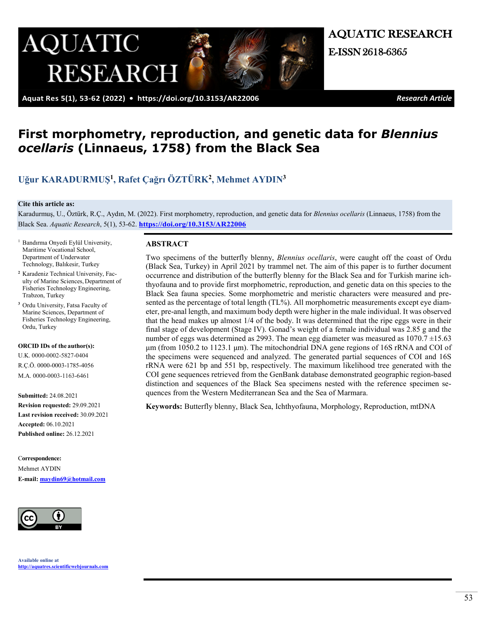

 **Aquat Res 5(1), 53-62 (2022) • <https://doi.org/10.3153/AR22006>***Research Article*

AQUATIC RESEARCH

# **First morphometry, reproduction, and genetic data for** *Blennius ocellaris* **(Linnaeus, 1758) from the Black Sea**

# **[Uğur KARADURMUŞ](https://orcid.org/0000-0002-5827-0404)<sup>1</sup>, [Rafet Çağrı ÖZTÜRK](https://orcid.org/0000-0003-1785-4056)<sup>2</sup>, [Mehmet AYDIN](https://orcid.org/0000-0003-1163-6461)<sup>3</sup>**

#### **Cite this article as:**

Karadurmuş, U., Öztürk, R.Ç., Aydın, M. (2022). First morphometry, reproduction, and genetic data for *Blennius ocellaris* (Linnaeus, 1758) from the Black Sea. *Aquatic Research*, 5(1), 53-62. **<https://doi.org/10.3153/AR22006>**

- <sup>1</sup> Bandırma Onyedi Eylül University, Maritime Vocational School, Department of Underwater Technology, Balıkesir, Turkey
- **<sup>2</sup>** Karadeniz Technical University, Faculty of Marine Sciences, Department of Fisheries Technology Engineering, Trabzon, Turkey
- **<sup>3</sup>** Ordu University, Fatsa Faculty of Marine Sciences, Department of Fisheries Technology Engineering, Ordu, Turkey

#### **ORCID IDs of the author(s):**

U.K. 0000-0002-5827-0404 R.Ç.Ö. 0000-0003-1785-4056 M.A. 0000-0003-1163-6461

**Submitted:** 24.08.2021

**Revision requested:** 29.09.2021 **Last revision received:** 30.09.2021 **Accepted:** 06.10.2021 **Published online:** 26.12.2021

C**orrespondence:**  Mehmet AYDIN **E-mail: [maydin69@hotmail.com](mailto:ukaradurmus@bandirma.edu.tr)**



#### **ABSTRACT**

Two specimens of the butterfly blenny, *Blennius ocellaris*, were caught off the coast of Ordu (Black Sea, Turkey) in April 2021 by trammel net. The aim of this paper is to further document occurrence and distribution of the butterfly blenny for the Black Sea and for Turkish marine ichthyofauna and to provide first morphometric, reproduction, and genetic data on this species to the Black Sea fauna species. Some morphometric and meristic characters were measured and presented as the percentage of total length (TL%). All morphometric measurements except eye diameter, pre-anal length, and maximum body depth were higher in the male individual. It was observed that the head makes up almost 1/4 of the body. It was determined that the ripe eggs were in their final stage of development (Stage IV). Gonad's weight of a female individual was 2.85 g and the number of eggs was determined as 2993. The mean egg diameter was measured as  $1070.7 \pm 15.63$ μm (from 1050.2 to 1123.1 μm). The mitochondrial DNA gene regions of 16S rRNA and COI of the specimens were sequenced and analyzed. The generated partial sequences of COI and 16S rRNA were 621 bp and 551 bp, respectively. The maximum likelihood tree generated with the COI gene sequences retrieved from the GenBank database demonstrated geographic region-based distinction and sequences of the Black Sea specimens nested with the reference specimen sequences from the Western Mediterranean Sea and the Sea of Marmara.

**Keywords:** Butterfly blenny, Black Sea, Ichthyofauna, Morphology, Reproduction, mtDNA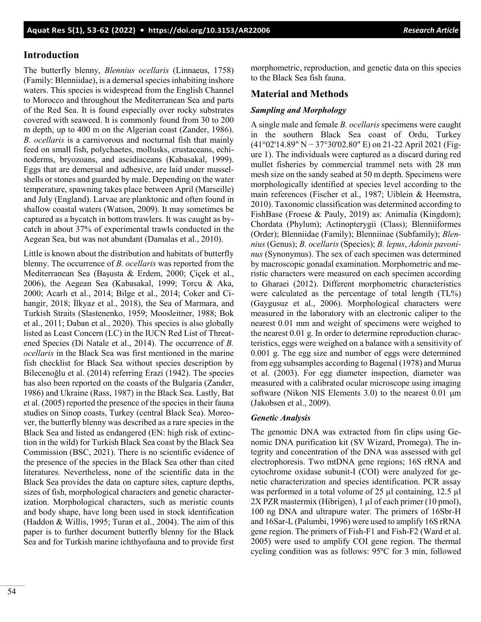# **Introduction**

The butterfly blenny, *Blennius ocellaris* (Linnaeus, 1758) (Family: Blenniidae), is a demersal species inhabiting inshore waters. This species is widespread from the English Channel to Morocco and throughout the Mediterranean Sea and parts of the Red Sea. It is found especially over rocky substrates covered with seaweed. It is commonly found from 30 to 200 m depth, up to 400 m on the Algerian coast (Zander, 1986). *B. ocellaris* is a carnivorous and nocturnal fish that mainly feed on small fish, polychaetes, mollusks, crustaceans, echinoderms, bryozoans, and ascidiaceans (Kabasakal, 1999). Eggs that are demersal and adhesive, are laid under musselshells or stones and guarded by male. Depending on the water temperature, spawning takes place between April (Marseille) and July (England). Larvae are planktonic and often found in shallow coastal waters (Watson, 2009). It may sometimes be captured as a bycatch in bottom trawlers. It was caught as bycatch in about 37% of experimental trawls conducted in the Aegean Sea, but was not abundant (Damalas et al., 2010).

Little is known about the distribution and habitats of butterfly blenny. The occurrence of *B. ocellaris* was reported from the Mediterranean Sea (Başusta & Erdem, 2000; Çiçek et al., 2006), the Aegean Sea (Kabasakal, 1999; Torcu & Aka, 2000; Acarlı et al., 2014; Bilge et al., 2014; Coker and Cihangir, 2018; İlkyaz et al., 2018), the Sea of Marmara, and Turkish Straits (Slastenenko, 1959; Moosleitner, 1988; Bok et al., 2011; Daban et al., 2020). This species is also globally listed as Least Concern (LC) in the IUCN Red List of Threatened Species (Di Natale et al., 2014). The occurrence of *B. ocellaris* in the Black Sea was first mentioned in the marine fish checklist for Black Sea without species description by Bilecenoğlu et al. (2014) referring Erazi (1942). The species has also been reported on the coasts of the Bulgaria (Zander, 1986) and Ukraine (Rass, 1987) in the Black Sea. Lastly, Bat et al. (2005) reported the presence of the species in their fauna studies on Sinop coasts, Turkey (central Black Sea). Moreover, the butterfly blenny was described as a rare species in the Black Sea and listed as endangered (EN: high risk of extinction in the wild) for Turkish Black Sea coast by the Black Sea Commission (BSC, 2021). There is no scientific evidence of the presence of the species in the Black Sea other than cited literatures. Nevertheless, none of the scientific data in the Black Sea provides the data on capture sites, capture depths, sizes of fish, morphological characters and genetic characterization. Morphological characters, such as meristic counts and body shape, have long been used in stock identification (Haddon & Willis, 1995; Turan et al., 2004). The aim of this paper is to further document butterfly blenny for the Black Sea and for Turkish marine ichthyofauna and to provide first

morphometric, reproduction, and genetic data on this species to the Black Sea fish fauna.

# **Material and Methods**

### *Sampling and Morphology*

A single male and female *B. ocellaris* specimens were caught in the southern Black Sea coast of Ordu, Turkey (41°02'14.89" N − 37°30'02.80" E) on 21-22 April 2021 (Figure 1). The individuals were captured as a discard during red mullet fisheries by commercial trammel nets with 28 mm mesh size on the sandy seabed at 50 m depth. Specimens were morphologically identified at species level according to the main references (Fischer et al., 1987; Uiblein & Heemstra, 2010). Taxonomic classification was determined according to FishBase (Froese & Pauly, 2019) as: Animalia (Kingdom); Chordata (Phylum); Actinopterygii (Class); Blenniiformes (Order); Blenniidae (Family); Blenniinae (Subfamily); *Blennius* (Genus); *B. ocellaris* (Species); *B. lepus*, *Adonis pavoninus* (Synonymus). The sex of each specimen was determined by macroscopic gonadal examination. Morphometric and meristic characters were measured on each specimen according to Gharaei (2012). Different morphometric characteristics were calculated as the percentage of total length (TL%) (Gaygusuz et al., 2006). Morphological characters were measured in the laboratory with an electronic caliper to the nearest 0.01 mm and weight of specimens were weighed to the nearest 0.01 g. In order to determine reproduction characteristics, eggs were weighed on a balance with a sensitivity of 0.001 g. The egg size and number of eggs were determined from egg subsamples according to Bagenal (1978) and Murua et al. (2003). For egg diameter inspection, diameter was measured with a calibrated ocular microscope using imaging software (Nikon NIS Elements 3.0) to the nearest 0.01 μm (Jakobsen et al., 2009).

### *Genetic Analysis*

The genomic DNA was extracted from fin clips using Genomic DNA purification kit (SV Wizard, Promega). The integrity and concentration of the DNA was assessed with gel electrophoresis. Two mtDNA gene regions; 16S rRNA and cytochrome oxidase subunit-I (COI) were analyzed for genetic characterization and species identification. PCR assay was performed in a total volume of 25 µl containing, 12.5 µl 2X PZR mastermix (Hibrigen), 1 µl of each primer (10 pmol), 100 ng DNA and ultrapure water. The primers of 16Sbr-H and 16Sar-L (Palumbi, 1996) were used to amplify 16S rRNA gene region. The primers of Fish-F1 and Fish-F2 (Ward et al. 2005) were used to amplify COI gene region. The thermal cycling condition was as follows: 95ºC for 3 min, followed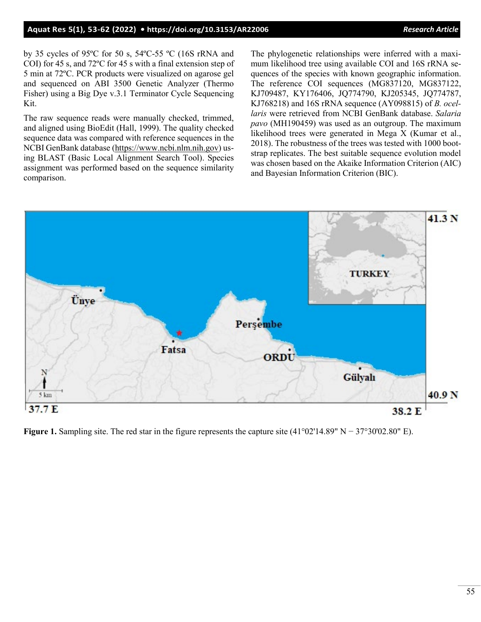### **Aquat Res 5(1), 53-62 (2022) •<https://doi.org/10.3153/AR22006>***Research Article*

by 35 cycles of 95ºC for 50 s, 54ºC-55 ºC (16S rRNA and COI) for 45 s, and 72ºC for 45 s with a final extension step of 5 min at 72ºC. PCR products were visualized on agarose gel and sequenced on ABI 3500 Genetic Analyzer (Thermo Fisher) using a Big Dye v.3.1 Terminator Cycle Sequencing Kit.

The raw sequence reads were manually checked, trimmed, and aligned using BioEdit (Hall, 1999). The quality checked sequence data was compared with reference sequences in the NCBI GenBank database [\(https://www.ncbi.nlm.nih.gov](https://www.ncbi.nlm.nih.gov/)) using BLAST (Basic Local Alignment Search Tool). Species assignment was performed based on the sequence similarity comparison.

The phylogenetic relationships were inferred with a maximum likelihood tree using available COI and 16S rRNA sequences of the species with known geographic information. The reference COI sequences (MG837120, MG837122, KJ709487, KY176406, JQ774790, KJ205345, JQ774787, KJ768218) and 16S rRNA sequence (AY098815) of *B. ocellaris* were retrieved from NCBI GenBank database. *Salaria pavo* (MH190459) was used as an outgroup. The maximum likelihood trees were generated in Mega X (Kumar et al., 2018). The robustness of the trees was tested with 1000 bootstrap replicates. The best suitable sequence evolution model was chosen based on the Akaike Information Criterion (AIC) and Bayesian Information Criterion (BIC).



**Figure 1.** Sampling site. The red star in the figure represents the capture site (41°02'14.89" N − 37°30'02.80" E).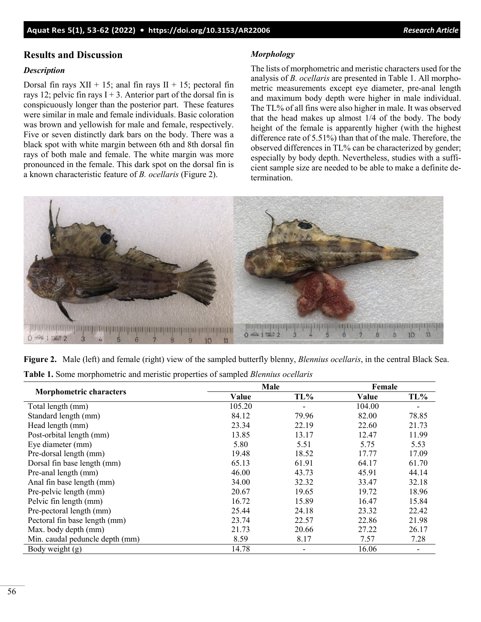### **Results and Discussion**

### *Description*

Dorsal fin rays  $XII + 15$ ; anal fin rays  $II + 15$ ; pectoral fin rays 12; pelvic fin rays  $I + 3$ . Anterior part of the dorsal fin is conspicuously longer than the posterior part. These features were similar in male and female individuals. Basic coloration was brown and yellowish for male and female, respectively. Five or seven distinctly dark bars on the body. There was a black spot with white margin between 6th and 8th dorsal fin rays of both male and female. The white margin was more pronounced in the female. This dark spot on the dorsal fin is a known characteristic feature of *B. ocellaris* (Figure 2).

### *Morphology*

The lists of morphometric and meristic characters used for the analysis of *B. ocellaris* are presented in Table 1. All morphometric measurements except eye diameter, pre-anal length and maximum body depth were higher in male individual. The TL% of all fins were also higher in male. It was observed that the head makes up almost 1/4 of the body. The body height of the female is apparently higher (with the highest difference rate of 5.51%) than that of the male. Therefore, the observed differences in TL% can be characterized by gender; especially by body depth. Nevertheless, studies with a sufficient sample size are needed to be able to make a definite determination.



|  | Figure 2. Male (left) and female (right) view of the sampled butterfly blenny, Blennius ocellaris, in the central Black Sea. |  |  |
|--|------------------------------------------------------------------------------------------------------------------------------|--|--|
|  | <b>Table 1.</b> Some morphometric and meristic properties of sampled <i>Blennius ocellaris</i>                               |  |  |

|                                 | Male   | Female                   |        |       |
|---------------------------------|--------|--------------------------|--------|-------|
| <b>Morphometric characters</b>  | Value  | TL%                      | Value  | TL%   |
| Total length (mm)               | 105.20 |                          | 104.00 |       |
| Standard length (mm)            | 84.12  | 79.96                    | 82.00  | 78.85 |
| Head length (mm)                | 23.34  | 22.19                    | 22.60  | 21.73 |
| Post-orbital length (mm)        | 13.85  | 13.17                    | 12.47  | 11.99 |
| Eye diameter (mm)               | 5.80   | 5.51                     | 5.75   | 5.53  |
| Pre-dorsal length (mm)          | 19.48  | 18.52                    | 17.77  | 17.09 |
| Dorsal fin base length (mm)     | 65.13  | 61.91                    | 64.17  | 61.70 |
| Pre-anal length (mm)            | 46.00  | 43.73                    | 45.91  | 44.14 |
| Anal fin base length (mm)       | 34.00  | 32.32                    | 33.47  | 32.18 |
| Pre-pelvic length (mm)          | 20.67  | 19.65                    | 19.72  | 18.96 |
| Pelvic fin length (mm)          | 16.72  | 15.89                    | 16.47  | 15.84 |
| Pre-pectoral length (mm)        | 25.44  | 24.18                    | 23.32  | 22.42 |
| Pectoral fin base length (mm)   | 23.74  | 22.57                    | 22.86  | 21.98 |
| Max. body depth (mm)            | 21.73  | 20.66                    | 27.22  | 26.17 |
| Min. caudal peduncle depth (mm) | 8.59   | 8.17                     | 7.57   | 7.28  |
| Body weight (g)                 | 14.78  | $\overline{\phantom{a}}$ | 16.06  | -     |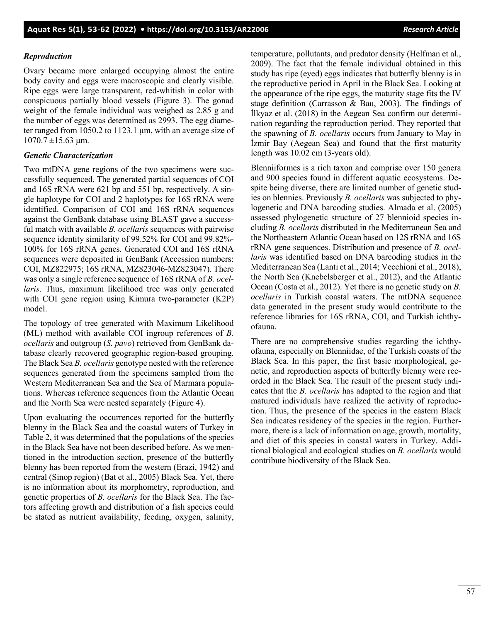### *Reproduction*

Ovary became more enlarged occupying almost the entire body cavity and eggs were macroscopic and clearly visible. Ripe eggs were large transparent, red-whitish in color with conspicuous partially blood vessels (Figure 3). The gonad weight of the female individual was weighed as 2.85 g and the number of eggs was determined as 2993. The egg diameter ranged from 1050.2 to 1123.1 μm, with an average size of  $1070.7 \pm 15.63$  μm.

### *Genetic Characterization*

Two mtDNA gene regions of the two specimens were successfully sequenced. The generated partial sequences of COI and 16S rRNA were 621 bp and 551 bp, respectively. A single haplotype for COI and 2 haplotypes for 16S rRNA were identified. Comparison of COI and 16S rRNA sequences against the GenBank database using BLAST gave a successful match with available *B. ocellaris* sequences with pairwise sequence identity similarity of 99.52% for COI and 99.82%- 100% for 16S rRNA genes. Generated COI and 16S rRNA sequences were deposited in GenBank (Accession numbers: COI, MZ822975; 16S rRNA, MZ823046-MZ823047). There was only a single reference sequence of 16S rRNA of *B. ocellaris*. Thus, maximum likelihood tree was only generated with COI gene region using Kimura two-parameter (K2P) model.

The topology of tree generated with Maximum Likelihood (ML) method with available COI ingroup references of *B. ocellaris* and outgroup (*S. pavo*) retrieved from GenBank database clearly recovered geographic region-based grouping. The Black Sea *B. ocellaris* genotype nested with the reference sequences generated from the specimens sampled from the Western Mediterranean Sea and the Sea of Marmara populations. Whereas reference sequences from the Atlantic Ocean and the North Sea were nested separately (Figure 4).

Upon evaluating the occurrences reported for the butterfly blenny in the Black Sea and the coastal waters of Turkey in Table 2, it was determined that the populations of the species in the Black Sea have not been described before. As we mentioned in the introduction section, presence of the butterfly blenny has been reported from the western (Erazi, 1942) and central (Sinop region) (Bat et al., 2005) Black Sea. Yet, there is no information about its morphometry, reproduction, and genetic properties of *B. ocellaris* for the Black Sea. The factors affecting growth and distribution of a fish species could be stated as nutrient availability, feeding, oxygen, salinity,

temperature, pollutants, and predator density (Helfman et al., 2009). The fact that the female individual obtained in this study has ripe (eyed) eggs indicates that butterfly blenny is in the reproductive period in April in the Black Sea. Looking at the appearance of the ripe eggs, the maturity stage fits the IV stage definition (Carrasson & Bau, 2003). The findings of İlkyaz et al. (2018) in the Aegean Sea confirm our determination regarding the reproduction period. They reported that the spawning of *B. ocellaris* occurs from January to May in İzmir Bay (Aegean Sea) and found that the first maturity length was 10.02 cm (3-years old).

Blenniiformes is a rich taxon and comprise over 150 genera and 900 species found in different aquatic ecosystems. Despite being diverse, there are limited number of genetic studies on blennies. Previously *B. ocellaris* was subjected to phylogenetic and DNA barcoding studies. Almada et al. (2005) assessed phylogenetic structure of 27 blennioid species including *B. ocellaris* distributed in the Mediterranean Sea and the Northeastern Atlantic Ocean based on 12S rRNA and 16S rRNA gene sequences. Distribution and presence of *B. ocellaris* was identified based on DNA barcoding studies in the Mediterranean Sea (Lanti et al., 2014; Vecchioni et al., 2018), the North Sea (Knebelsberger et al., 2012), and the Atlantic Ocean (Costa et al., 2012). Yet there is no genetic study on *B. ocellaris* in Turkish coastal waters. The mtDNA sequence data generated in the present study would contribute to the reference libraries for 16S rRNA, COI, and Turkish ichthyofauna.

There are no comprehensive studies regarding the ichthyofauna, especially on Blenniidae, of the Turkish coasts of the Black Sea. In this paper, the first basic morphological, genetic, and reproduction aspects of butterfly blenny were recorded in the Black Sea. The result of the present study indicates that the *B. ocellaris* has adapted to the region and that matured individuals have realized the activity of reproduction. Thus, the presence of the species in the eastern Black Sea indicates residency of the species in the region. Furthermore, there is a lack of information on age, growth, mortality, and diet of this species in coastal waters in Turkey. Additional biological and ecological studies on *B. ocellaris* would contribute biodiversity of the Black Sea.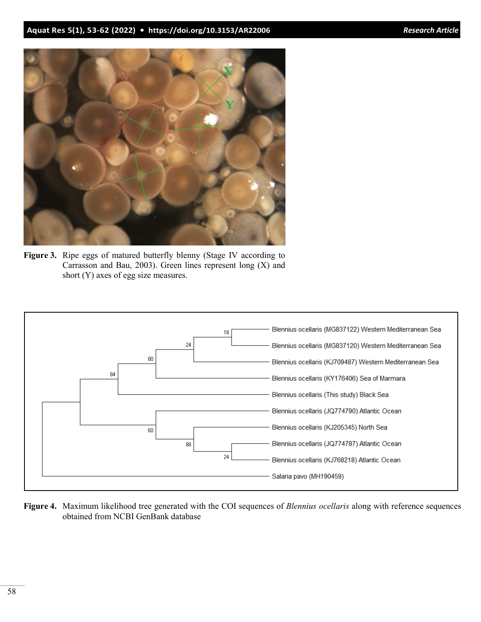

**Figure 3.** Ripe eggs of matured butterfly blenny (Stage IV according to Carrasson and Bau, 2003). Green lines represent long (X) and short (Y) axes of egg size measures.



**Figure 4.** Maximum likelihood tree generated with the COI sequences of *Blennius ocellaris* along with reference sequences obtained from NCBI GenBank database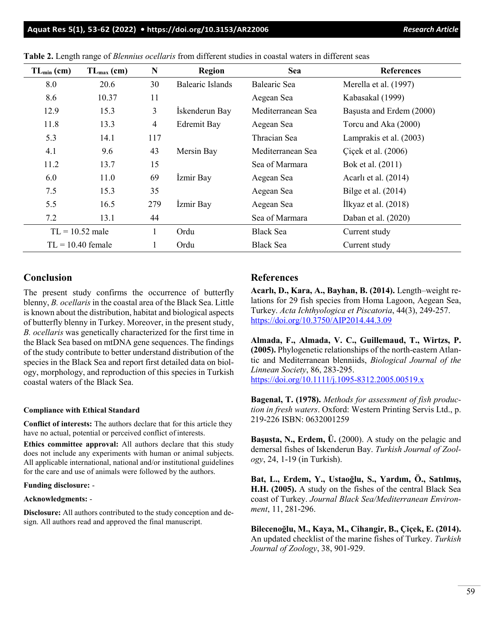| $TL_{min}(cm)$      | $TL_{max}(cm)$ | N              | <b>Region</b>           | <b>Sea</b>        | <b>References</b>        |
|---------------------|----------------|----------------|-------------------------|-------------------|--------------------------|
| 8.0                 | 20.6           | 30             | <b>Balearic Islands</b> | Balearic Sea      | Merella et al. (1997)    |
| 8.6                 | 10.37          | 11             |                         | Aegean Sea        | Kabasakal (1999)         |
| 12.9                | 15.3           | 3              | İskenderun Bay          | Mediterranean Sea | Başusta and Erdem (2000) |
| 11.8                | 13.3           | $\overline{4}$ | <b>Edremit Bay</b>      | Aegean Sea        | Torcu and Aka (2000)     |
| 5.3                 | 14.1           | 117            |                         | Thracian Sea      | Lamprakis et al. (2003)  |
| 4.1                 | 9.6            | 43             | Mersin Bay              | Mediterranean Sea | Cicek et al. (2006)      |
| 11.2                | 13.7           | 15             |                         | Sea of Marmara    | Bok et al. (2011)        |
| 6.0                 | 11.0           | 69             | İzmir Bay               | Aegean Sea        | Acarlı et al. (2014)     |
| 7.5                 | 15.3           | 35             |                         | Aegean Sea        | Bilge et al. $(2014)$    |
| 5.5                 | 16.5           | 279            | İzmir Bay               | Aegean Sea        | Ilkyaz et al. $(2018)$   |
| 7.2                 | 13.1           | 44             |                         | Sea of Marmara    | Daban et al. (2020)      |
| $TL = 10.52$ male   |                | 1              | Ordu                    | <b>Black Sea</b>  | Current study            |
| $TL = 10.40$ female |                | 1              | Ordu                    | <b>Black Sea</b>  | Current study            |

**Table 2.** Length range of *Blennius ocellaris* from different studies in coastal waters in different seas

# **Conclusion**

The present study confirms the occurrence of butterfly blenny, *B. ocellaris* in the coastal area of the Black Sea. Little is known about the distribution, habitat and biological aspects of butterfly blenny in Turkey. Moreover, in the present study, *B. ocellaris* was genetically characterized for the first time in the Black Sea based on mtDNA gene sequences. The findings of the study contribute to better understand distribution of the species in the Black Sea and report first detailed data on biology, morphology, and reproduction of this species in Turkish coastal waters of the Black Sea.

#### **Compliance with Ethical Standard**

**Conflict of interests:** The authors declare that for this article they have no actual, potential or perceived conflict of interests.

**Ethics committee approval:** All authors declare that this study does not include any experiments with human or animal subjects. All applicable international, national and/or institutional guidelines for the care and use of animals were followed by the authors.

#### **Funding disclosure:** -

#### **Acknowledgments:** -

**Disclosure:** All authors contributed to the study conception and design. All authors read and approved the final manuscript.

### **References**

**Acarlı, D., Kara, A., Bayhan, B. (2014).** Length–weight relations for 29 fish species from Homa Lagoon, Aegean Sea, Turkey. *Acta Ichthyologica et Piscatoria*, 44(3), 249-257. <https://doi.org/10.3750/AIP2014.44.3.09>

**Almada, F., Almada, V. C., Guillemaud, T., Wirtzs, P. (2005).** Phylogenetic relationships of the north-eastern Atlantic and Mediterranean blenniids, *Biological Journal of the Linnean Society*, 86, 283-295. [https://doi.org/10.1111/j.1095](https://doi.org/10.1111/j.1095-8312.2005.00519.x)-8312.2005.00519.x

**Bagenal, T. (1978).** *Methods for assessment of fish production in fresh waters*. Oxford: Western Printing Servis Ltd., p. 219-226 ISBN: 0632001259

**Başusta, N., Erdem, Ü.** (2000). A study on the pelagic and demersal fishes of Iskenderun Bay. *Turkish Journal of Zoology*, 24, 1-19 (in Turkish).

**Bat, L., Erdem, Y., Ustaoğlu, S., Yardım, Ö., Satılmış, H.H. (2005).** A study on the fishes of the central Black Sea coast of Turkey. *Journal Black Sea/Mediterranean Environment*, 11, 281-296.

**Bilecenoğlu, M., Kaya, M., Cihangir, B., Çiçek, E. (2014).** An updated checklist of the marine fishes of Turkey. *Turkish Journal of Zoology*, 38, 901-929.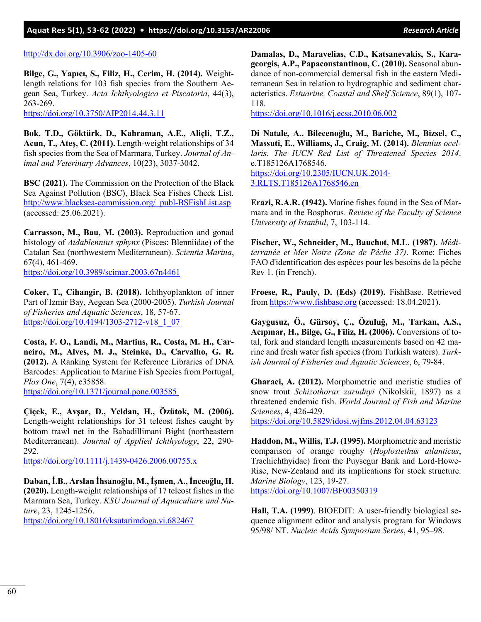### **Aquat Res 5(1), 53-62 (2022) • <https://doi.org/10.3153/AR22006>***Research Article*

#### [http://dx.doi.org/10.3906/zoo](http://dx.doi.org/10.3906/zoo-1405-60)-1405-60

**Bilge, G., Yapıcı, S., Filiz, H., Cerim, H. (2014).** Weightlength relations for 103 fish species from the Southern Aegean Sea, Turkey. *Acta Ichthyologica et Piscatoria*, 44(3), 263-269.

<https://doi.org/10.3750/AIP2014.44.3.11>

**Bok, T.D., Göktürk, D., Kahraman, A.E., Aliçli, T.Z., Acun, T., Ateş, C. (2011).** Length-weight relationships of 34 fish species from the Sea of Marmara, Turkey. *Journal of Animal and Veterinary Advances*, 10(23), 3037-3042.

**BSC (2021).** The Commission on the Protection of the Black Sea Against Pollution (BSC), Black Sea Fishes Check List. http://www.blacksea-[commission.org/\\_publ](http://www.blacksea-commission.org/_publ-BSFishList.asp)-BSFishList.asp (accessed: 25.06.2021).

**Carrasson, M., Bau, M. (2003).** Reproduction and gonad histology of *Aidablennius sphynx* (Pisces: Blenniidae) of the Catalan Sea (northwestern Mediterranean). *Scientia Marina*, 67(4), 461-469. <https://doi.org/10.3989/scimar.2003.67n4461>

**Coker, T., Cihangir, B. (2018).** Ichthyoplankton of inner Part of Izmir Bay, Aegean Sea (2000-2005). *Turkish Journal of Fisheries and Aquatic Sciences*, 18, 57-67. [https://doi.org/10.4194/1303](https://doi.org/10.4194/1303-2712-v18_1_07)-2712-v18\_1\_07

**Costa, F. O., Landi, M., Martins, R., Costa, M. H., Carneiro, M., Alves, M. J., Steinke, D., Carvalho, G. R. (2012).** A Ranking System for Reference Libraries of DNA Barcodes: Application to Marine Fish Species from Portugal, *Plos One*, 7(4), e35858. <https://doi.org/10.1371/journal.pone.003585>

**Çiçek, E., Avşar, D., Yeldan, H., Özütok, M. (2006).** Length-weight relationships for 31 teleost fishes caught by bottom trawl net in the Babadillimani Bight (northeastern Mediterranean). *Journal of Applied Ichthyology*, 22, 290- 292.

[https://doi.org/10.1111/j.1439](https://doi.org/10.1111/j.1439-0426.2006.00755.x)-0426.2006.00755.x

**Daban, İ.B., Arslan İhsanoğlu, M., İşmen, A., İnceoğlu, H. (2020).** Length-weight relationships of 17 teleost fishes in the Marmara Sea, Turkey. *KSU Journal of Aquaculture and Nature*, 23, 1245-1256.

<https://doi.org/10.18016/ksutarimdoga.vi.682467>

**Damalas, D., Maravelias, C.D., Katsanevakis, S., Karageorgis, A.P., Papaconstantinou, C. (2010).** Seasonal abundance of non-commercial demersal fish in the eastern Mediterranean Sea in relation to hydrographic and sediment characteristics. *Estuarine, Coastal and Shelf Science*, 89(1), 107- 118.

<https://doi.org/10.1016/j.ecss.2010.06.002>

**Di Natale, A., Bilecenoğlu, M., Bariche, M., Bizsel, C., Massuti, E., Williams, J., Craig, M. (2014).** *Blennius ocellaris*. *The IUCN Red List of Threatened Species 2014*. e.T185126A1768546. [https://doi.org/10.2305/IUCN.UK.2014](https://doi.org/10.2305/IUCN.UK.2014-3.RLTS.T185126A1768546.en)- [3.RLTS.T185126A1768546.en](https://doi.org/10.2305/IUCN.UK.2014-3.RLTS.T185126A1768546.en)

**Erazi, R.A.R. (1942).** Marine fishes found in the Sea of Marmara and in the Bosphorus. *Review of the Faculty of Science University of Istanbul*, 7, 103-114.

**Fischer, W., Schneider, M., Bauchot, M.L. (1987).** *Méditerranée et Mer Noire (Zone de Pêche 37)*. Rome: Fiches FAO d'identification des espèces pour les besoins de la pêche Rev 1. (in French).

**Froese, R., Pauly, D. (Eds) (2019).** FishBase. Retrieved from [https://www.fishbase.org](https://www.fishbase.org/) (accessed: 18.04.2021).

**Gaygusuz, Ö., Gürsoy, Ç., Özuluğ, M., Tarkan, A.S., Acıpınar, H., Bilge, G., Filiz, H. (2006).** Conversions of total, fork and standard length measurements based on 42 marine and fresh water fish species (from Turkish waters). *Turkish Journal of Fisheries and Aquatic Sciences*, 6, 79-84.

**Gharaei, A. (2012).** Morphometric and meristic studies of snow trout *Schizothorax zarudnyi* (Nikolskii, 1897) as a threatened endemic fish. *World Journal of Fish and Marine Sciences*, 4, 426-429.

<https://doi.org/10.5829/idosi.wjfms.2012.04.04.63123>

**Haddon, M., Willis, T.J. (1995).** Morphometric and meristic comparison of orange roughy (*Hoplostethus atlanticus*, Trachichthyidae) from the Puysegur Bank and Lord-Howe-Rise, New-Zealand and its implications for stock structure. *Marine Biology*, 123, 19-27. <https://doi.org/10.1007/BF00350319>

**Hall, T.A. (1999)**. BIOEDIT: A user-friendly biological sequence alignment editor and analysis program for Windows 95/98/ NT. *Nucleic Acids Symposium Series*, 41, 95–98.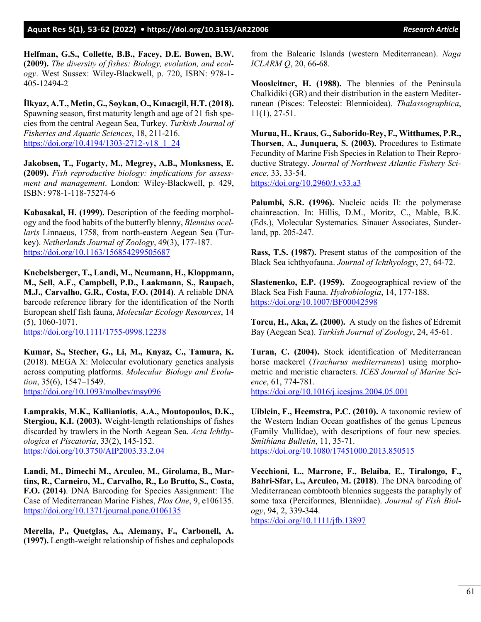**Helfman, G.S., Collette, B.B., Facey, D.E. Bowen, B.W. (2009).** *The diversity of fishes: Biology, evolution, and ecology*. West Sussex: Wiley-Blackwell, p. 720, ISBN: 978-1- 405-12494-2

**İlkyaz, A.T., Metin, G., Soykan, O., Kınacıgil, H.T. (2018).** Spawning season, first maturity length and age of 21 fish species from the central Aegean Sea, Turkey. *Turkish Journal of Fisheries and Aquatic Sciences*, 18, 211-216. [https://doi.org/10.4194/1303](https://doi.org/10.4194/1303-2712-v18_1_24)-2712-v18\_1\_24

**Jakobsen, T., Fogarty, M., Megrey, A.B., Monksness, E. (2009).** *Fish reproductive biology: implications for assessment and management*. London: Wiley-Blackwell, p. 429, ISBN: 978-1-118-75274-6

**Kabasakal, H. (1999).** Description of the feeding morphology and the food habits of the butterfly blenny, *Blennius ocellaris* Linnaeus, 1758, from north-eastern Aegean Sea (Turkey). *Netherlands Journal of Zoology*, 49(3), 177-187. <https://doi.org/10.1163/156854299505687>

**Knebelsberger, T., Landi, M., Neumann, H., Kloppmann, M., Sell, A.F., Campbell, P.D., Laakmann, S., Raupach, M.J., Carvalho, G.R., Costa, F.O. (2014)**. A reliable DNA barcode reference library for the identification of the North European shelf fish fauna, *Molecular Ecology Resources*, 14 (5), 1060-1071.

[https://doi.org/10.1111/1755](https://doi.org/10.1111/1755-0998.12238)-0998.12238

**Kumar, S., Stecher, G., Li, M., Knyaz, C., Tamura, K.** (2018). MEGA X: Molecular evolutionary genetics analysis across computing platforms. *Molecular Biology and Evolution*, 35(6), 1547–1549. <https://doi.org/10.1093/molbev/msy096>

**Lamprakis, M.K., Kallianiotis, A.A., Moutopoulos, D.K., Stergiou, K.I. (2003).** Weight-length relationships of fishes discarded by trawlers in the North Aegean Sea. *Acta Ichthyologica et Piscatoria*, 33(2), 145-152. <https://doi.org/10.3750/AIP2003.33.2.04>

**Landi, M., Dimechi M., Arculeo, M., Girolama, B., Martins, R., Carneiro, M., Carvalho, R., Lo Brutto, S., Costa, F.O. (2014)**. DNA Barcoding for Species Assignment: The Case of Mediterranean Marine Fishes, *Plos One*, 9, e106135. <https://doi.org/10.1371/journal.pone.0106135>

**Merella, P., Quetglas, A., Alemany, F., Carbonell, A. (1997).** Length-weight relationship of fishes and cephalopods from the Balearic Islands (western Mediterranean). *Naga ICLARM Q*, 20, 66-68.

**Moosleitner, H. (1988).** The blennies of the Peninsula Chalkidiki (GR) and their distribution in the eastern Mediterranean (Pisces: Teleostei: Blennioidea). *Thalassographica*, 11(1), 27-51.

**Murua, H., Kraus, G., Saborido-Rey, F., Witthames, P.R., Thorsen, A., Junquera, S. (2003).** Procedures to Estimate Fecundity of Marine Fish Species in Relation to Their Reproductive Strategy. *Journal of Northwest Atlantic Fishery Science*, 33, 33-54. <https://doi.org/10.2960/J.v33.a3>

**Palumbi, S.R. (1996).** Nucleic acids II: the polymerase chainreaction. In: Hillis, D.M., Moritz, C., Mable, B.K. (Eds.), Molecular Systematics. Sinauer Associates, Sunderland, pp. 205-247.

**Rass, T.S. (1987).** Present status of the composition of the Black Sea ichthyofauna. *Journal of Ichthyology*, 27, 64-72.

**Slastenenko, E.P. (1959).** Zoogeographical review of the Black Sea Fish Fauna. *Hydrobiologia*, 14, 177-188. <https://doi.org/10.1007/BF00042598>

**Torcu, H., Aka, Z. (2000).** A study on the fishes of Edremit Bay (Aegean Sea). *Turkish Journal of Zoology*, 24, 45-61.

**Turan, C. (2004).** Stock identification of Mediterranean horse mackerel (*Trachurus mediterraneus*) using morphometric and meristic characters. *ICES Journal of Marine Science*, 61, 774-781. <https://doi.org/10.1016/j.icesjms.2004.05.001>

**Uiblein, F., Heemstra, P.C. (2010).** A taxonomic review of the Western Indian Ocean goatfishes of the genus Upeneus (Family Mullidae), with descriptions of four new species. *Smithiana Bulletin*, 11, 35-71. <https://doi.org/10.1080/17451000.2013.850515>

**Vecchioni, L., Marrone, F., Belaiba, E., Tiralongo, F., Bahri-Sfar, L., Arculeo, M. (2018)**. The DNA barcoding of Mediterranean combtooth blennies suggests the paraphyly of some taxa (Perciformes, Blenniidae). *Journal of Fish Biology*, 94, 2, 339-344.

<https://doi.org/10.1111/jfb.13897>